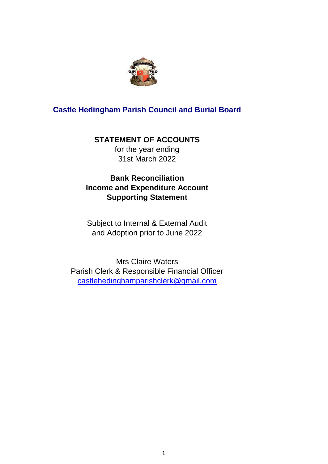

# **Castle Hedingham Parish Council and Burial Board**

# **STATEMENT OF ACCOUNTS**

for the year ending 31st March 2022

# **Bank Reconciliation Income and Expenditure Account Supporting Statement**

Subject to Internal & External Audit and Adoption prior to June 2022

Mrs Claire Waters Parish Clerk & Responsible Financial Officer [castlehedinghamparishclerk@gmail.c](mailto:castlehedinghamparishclerk@gmail.com)om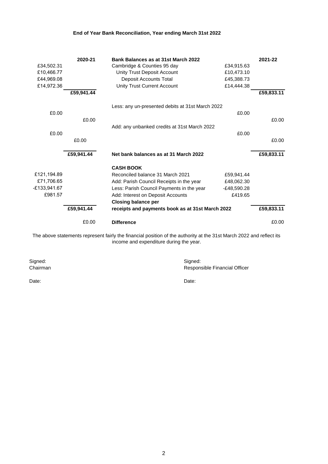## **End of Year Bank Reconciliation, Year ending March 31st 2022**

|              | 2020-21    | Bank Balances as at 31st March 2022              |               | 2021-22    |
|--------------|------------|--------------------------------------------------|---------------|------------|
| £34,502.31   |            | Cambridge & Counties 95 day                      | £34,915.63    |            |
| £10,466.77   |            | Unity Trust Deposit Account                      | £10,473.10    |            |
| £44,969.08   |            | Deposit Accounts Total                           | £45,388.73    |            |
| £14,972.36   |            | Unity Trust Current Account                      | £14,444.38    |            |
|              | £59,941.44 |                                                  |               | £59,833.11 |
|              |            | Less: any un-presented debits at 31st March 2022 |               |            |
| £0.00        |            |                                                  | £0.00         |            |
|              | £0.00      |                                                  |               | £0.00      |
|              |            | Add: any unbanked credits at 31st March 2022     |               |            |
| £0.00        |            |                                                  | £0.00         |            |
|              | £0.00      |                                                  |               | £0.00      |
|              |            |                                                  |               |            |
|              | £59,941.44 | Net bank balances as at 31 March 2022            |               | £59,833.11 |
|              |            | <b>CASH BOOK</b>                                 |               |            |
| £121,194.89  |            | Reconciled balance 31 March 2021                 | £59,941.44    |            |
| £71,706.65   |            | Add: Parish Council Receipts in the year         | £48,062.30    |            |
| E133,941.67- |            | Less: Parish Council Payments in the year        | $-E48,590.28$ |            |
| £981.57      |            | Add: Interest on Deposit Accounts                | £419.65       |            |
|              |            | <b>Closing balance per</b>                       |               |            |
|              | £59,941.44 | receipts and payments book as at 31st March 2022 |               | £59,833.11 |
|              | £0.00      | <b>Difference</b>                                |               | £0.00      |

The above statements represent fairly the financial position of the authority at the 31st March 2022 and reflect its income and expenditure during the year.

Signed: Signed: Signed: Signed: Signed: Signed: Signed: Signed: Signed: Signed: Signed: Signed: Signed: Signed: Signed: Signed: Signed: Signed: Signed: Signed: Signed: Signed: Signed: Signed: Signed: Signed: Signed: Signed

Date: **Date:** Date: **Date: Date: Date: Date: Date: Date: Date: Date: Date: Date: Date: Date: Date: Date: Date: Date: Date: Date: Date: Date: Date: Date: Date: Date: Date: D** 

Responsible Financial Officer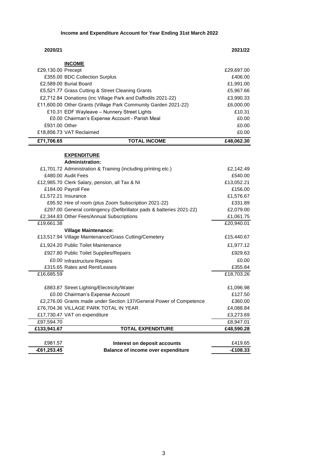**Income and Expenditure Account for Year Ending 31st March 2022**

| 2020/21            |                                                                                     | 2021/22               |
|--------------------|-------------------------------------------------------------------------------------|-----------------------|
|                    | <b>INCOME</b>                                                                       |                       |
| £29,130.00 Precept |                                                                                     | £29,697.00            |
|                    | £355.00 BDC Collection Surplus                                                      | £406.00               |
|                    | £2,589.00 Burial Board                                                              | £1,991.00             |
|                    | £5,521.77 Grass Cutting & Street Cleaning Grants                                    | £5,967.66             |
|                    | £2,712.84 Donations (inc Village Park and Daffodils 2021-22)                        | £3,990.33             |
|                    | £11,600.00 Other Grants (Village Park Community Garden 2021-22)                     | £6,000.00             |
|                    | £10.31 EDF Wayleave - Nunnery Street Lights                                         | £10.31                |
|                    | £0.00 Chairman's Expense Account - Parish Meal                                      | £0.00                 |
| £931.00 Other      |                                                                                     | £0.00                 |
|                    | £18,856.73 VAT Reclaimed                                                            | £0.00                 |
| £71,706.65         | <b>TOTAL INCOME</b>                                                                 | £48,062.30            |
|                    |                                                                                     |                       |
|                    | <b>EXPENDITURE</b>                                                                  |                       |
|                    | <b>Administration:</b>                                                              |                       |
|                    | £1,701.72 Administration & Training (including printing etc.)<br>£480.00 Audit Fees | £2,142.49             |
|                    | £12,985.70 Clerk Salary, pension, all Tax & NI                                      | £540.00               |
|                    | £184.00 Payroll Fee                                                                 | £13,052.21<br>£156.00 |
|                    | £1,572.21 Insurance                                                                 | £1,576.67             |
|                    | £95.92 Hire of room (plus Zoom Subscription 2021-22)                                | £331.89               |
|                    | £297.00 General contingency (Defibrillator pads & batteries 2021-22)                | £2,079.00             |
|                    | £2,344.83 Other Fees/Annual Subscriptions                                           | £1,061.75             |
| £19,661.38         |                                                                                     | £20,940.01            |
|                    | <b>Village Maintenance:</b>                                                         |                       |
|                    | £13,517.94 Village Maintenance/Grass Cutting/Cemetery                               | £15,440.67            |
|                    | £1,924.20 Public Toilet Maintenance                                                 | £1,977.12             |
|                    | £927.80 Public Toilet Supplies/Repairs                                              | £929.63               |
|                    | £0.00 Infrastructure Repairs                                                        | £0.00                 |
|                    | £315.65 Rates and Rent/Leases                                                       | £355.84               |
| £16,685.59         |                                                                                     | £18,703.26            |
|                    | £883.87 Street Lighting/Electricity/Water                                           | £1,096.98             |
|                    | £0.00 Chairman's Expense Account                                                    | £127.50               |
|                    | £2,276.00 Grants made under Section 137/General Power of Competence                 | £360.00               |
|                    | £76,704.36 VILLAGE PARK TOTAL IN YEAR                                               | £4,088.84             |
|                    | £17,730.47 VAT on expenditure                                                       | £3,273.69             |
| £97,594.70         |                                                                                     | £8,947.01             |
| £133,941.67        | <b>TOTAL EXPENDITURE</b>                                                            | £48,590.28            |
|                    |                                                                                     |                       |
| £981.57            | Interest on deposit accounts                                                        | £419.65               |
| $-£61,253.45$      | <b>Balance of income over expenditure</b>                                           | $-£108.33$            |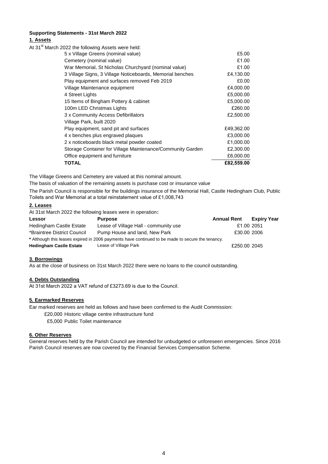#### **Supporting Statements - 31st March 2022 1. Assets**

| At 31 <sup>st</sup> March 2022 the following Assets were held: |            |
|----------------------------------------------------------------|------------|
| 5 x Village Greens (nominal value)                             | £5.00      |
| Cemetery (nominal value)                                       | £1.00      |
| War Memorial, St Nicholas Churchyard (nominal value)           | £1.00      |
| 3 Village Signs, 3 Village Noticeboards, Memorial benches      | £4,130.00  |
| Play equipment and surfaces removed Feb 2019                   | £0.00      |
| Village Maintenance equipment                                  | £4,000.00  |
| 4 Street Lights                                                | £5,000.00  |
| 15 Items of Bingham Pottery & cabinet                          | £5,000.00  |
| 100m LED Christmas Lights                                      | £260.00    |
| 3 x Community Access Defibrillators                            | £2,500.00  |
| Village Park, built 2020                                       |            |
| Play equipment, sand pit and surfaces                          | £49,362.00 |
| 4 x benches plus engraved plaques                              | £3,000.00  |
| 2 x noticeboards black metal powder coated                     | £1,000.00  |
| Storage Container for Village Maintenance/Community Garden     | £2,300.00  |
| Office equipment and furniture                                 | £6,000.00  |
| TOTAL                                                          | £82,559.00 |

The Village Greens and Cemetery are valued at this nominal amount.

The basis of valuation of the remaining assets is purchase cost or insurance value

The Parish Council is responsible for the buildings insurance of the Memorial Hall, Castle Hedingham Club, Public Toilets and War Memorial at a total reinstatement value of £1,008,743

#### **2. Leases**

At 31st March 2022 the following leases were in operation**:**

| Lessor                         | <b>Purpose</b>                                                                                   | <b>Annual Rent</b> | <b>Expiry Year</b> |
|--------------------------------|--------------------------------------------------------------------------------------------------|--------------------|--------------------|
| Hedingham Castle Estate        | Lease of Village Hall - community use                                                            | £1.00 2051         |                    |
| *Braintree District Council    | Pump House and land, New Park                                                                    | £30.00 2006        |                    |
|                                | * Although this leases expired in 2006 payments have continued to be made to secure the tenancy. |                    |                    |
| <b>Hedingham Castle Estate</b> | Lease of Village Park                                                                            | £250.00 2045       |                    |

#### **3. Borrowings**

As at the close of business on 31st March 2022 there were no loans to the council outstanding.

#### **4. Debts Outstanding**

At 31st March 2022 a VAT refund of £3273.69 is due to the Council.

#### **5. Earmarked Reserves**

Ear marked reserves are held as follows and have been confirmed to the Audit Commission:

£20,000 Historic village centre infrastructure fund

£5,000 Public Toilet maintenance

#### **6. Other Reserves**

General reserves held by the Parish Council are intended for unbudgeted or unforeseen emergencies. Since 2016 Parish Council reserves are now covered by the Financial Services Compensation Scheme.